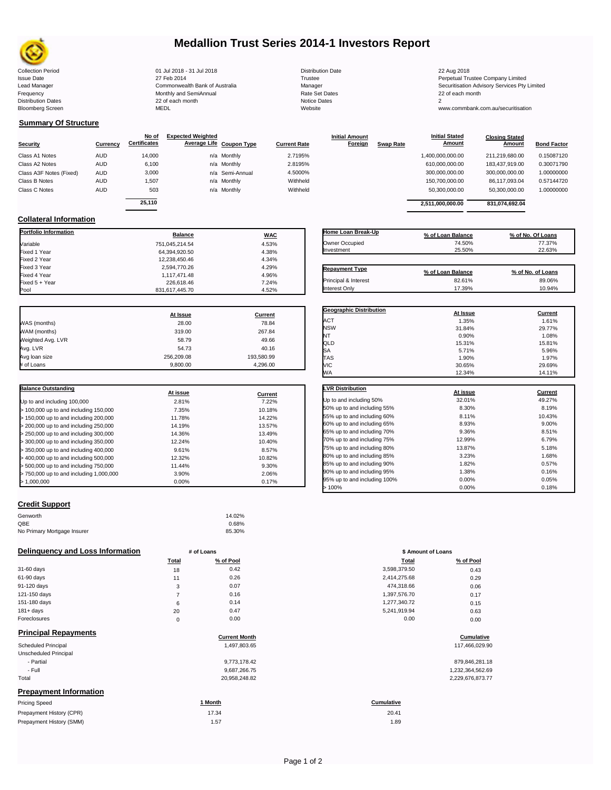

# **Medallion Trust Series 2014-1 Investors Report**

Collection Period 01 Jul 2018 - 31 Jul 2018 Distribution Date 22 Aug 2018 Issue Date 2014 27 Feb 2014 27 Feb 2014<br>Isaad Manager 2015 2017 Commonwealth Bank of Australia 2016 Manager 2016 2017 2017 Securitisation Advisory Services Pty Frequency Communication Communication Monthly and SemiAnnual Communication Communication Communication Communication Communication Communication Communication Communication Communication Communication Communication Communi Bloomberg Screen MEDL Website www.commbank.com.au/securitisation

n and the month of the contract of the contract of the contract of the contract of the contract of the contract of the contract of the contract of the contract of the contract of the contract of the contract of the contrac

Lead Manager **Commonwealth Bank of Australia** Manager Manager Securitisation Advisory Services Pty Limited

**Closing Stated Amount**

# **Summary Of Structure**

**Collateral Information**

|                         |            | No of               | <b>Expected Weighted</b> |                     | <b>Initial Amount</b> |                  | <b>Initial Stated</b> | <b>Closing Stated</b> |                    |
|-------------------------|------------|---------------------|--------------------------|---------------------|-----------------------|------------------|-----------------------|-----------------------|--------------------|
| <b>Security</b>         | Currency   | <b>Certificates</b> | Average Life Coupon Type | <b>Current Rate</b> | Foreign               | <b>Swap Rate</b> | <b>Amount</b>         | Amount                | <b>Bond Factor</b> |
| Class A1 Notes          | <b>AUD</b> | 14.000              | n/a Monthly              | 2.7195%             |                       |                  | 1,400,000,000.00      | 211.219.680.00        | 0.15087120         |
| Class A2 Notes          | <b>AUD</b> | 6,100               | n/a Monthly              | 2.8195%             |                       |                  | 610,000,000.00        | 183.437.919.00        | 0.30071790         |
| Class A3F Notes (Fixed) | <b>AUD</b> | 3,000               | n/a Semi-Annual          | 4.5000%             |                       |                  | 300,000,000.00        | 300,000,000.00        | 1.00000000         |
| Class B Notes           | <b>AUD</b> | 1.507               | n/a Monthly              | Withheld            |                       |                  | 150,700,000.00        | 86.117.093.04         | 0.57144720         |
| Class C Notes           | <b>AUD</b> | 503                 | n/a Monthly              | Withheld            |                       |                  | 50,300,000.00         | 50,300,000.00         | 1.00000000         |
|                         |            | 25.110              |                          |                     |                       |                  | 2,511,000,000.00      | 831,074,692.04        |                    |

**Portfolio Information Balance WAC** Variable 751,045,214.54 4.53% Fixed 1 Year 64,394,920.50 4.38% Fixed 2 Year 12,238,450.46 4.34% Fixed 3 Year 2,594,770.26 4.29% Fixed 4 Year 1,117,471.48 4.96% Fixed 5 + Year 226,618.46 7.24%

| Home Loan Break-Up    | % of Loan Balance | % of No. Of Loans |
|-----------------------|-------------------|-------------------|
| Owner Occupied        | 74.50%            | 77.37%            |
| Investment            | 25.50%            | 22.63%            |
| <b>Repayment Type</b> | % of Loan Balance | % of No. of Loans |
| Principal & Interest  | 82.61%            | 89.06%            |
| Interest Only         | 17.39%            | 10.94%            |

**Geographic Distribution**<br> **ACT ACT ACT ACT ACT ACT ACT ACT ACT ACT ACT ACT ACT ACT ACT ACT ACT ACT ACT ACT ACT ACT ACT ACT ACT ACT ACT ACT ACT ACT ACT** ACT 1.61% 1.35% 1.61% 1.61% NSW 31.84% 29.77% NT 0.90% 1.08%

**Initial Stated** 

|                   | At Issue   | Current    |
|-------------------|------------|------------|
| WAS (months)      | 28.00      | 78.84      |
| WAM (months)      | 319.00     | 267.84     |
| Weighted Avg. LVR | 58.79      | 49.66      |
| Avg. LVR          | 54.73      | 40.16      |
| Avg loan size     | 256.209.08 | 193,580.99 |
| # of Loans        | 9.800.00   | 4.296.00   |

831,617,445.70

| <b>Balance Outstanding</b>              | At issue | Current |
|-----------------------------------------|----------|---------|
| Up to and including 100,000             | 2.81%    | 7.22%   |
| $>$ 100,000 up to and including 150,000 | 7.35%    | 10.18%  |
| $>$ 150,000 up to and including 200,000 | 11.78%   | 14.22%  |
| > 200,000 up to and including 250,000   | 14.19%   | 13.57%  |
| $>$ 250,000 up to and including 300,000 | 14.36%   | 13.49%  |
| $>$ 300,000 up to and including 350,000 | 12.24%   | 10.40%  |
| $>$ 350,000 up to and including 400,000 | 9.61%    | 8.57%   |
| $>$ 400,000 up to and including 500,000 | 12.32%   | 10.82%  |
| > 500,000 up to and including 750,000   | 11.44%   | 9.30%   |
| > 750,000 up to and including 1,000,000 | 3.90%    | 2.06%   |
| > 1.000.000                             | $0.00\%$ | 0.17%   |

| QLD                          | 15.31%   | 15.81%  |
|------------------------------|----------|---------|
| SA                           | 5.71%    | 5.96%   |
| <b>TAS</b>                   | 1.90%    | 1.97%   |
| VIC                          | 30.65%   | 29.69%  |
| WA                           | 12.34%   | 14.11%  |
| <b>LVR Distribution</b>      | At issue | Current |
| Up to and including 50%      | 32.01%   | 49.27%  |
| 50% up to and including 55%  | 8.30%    | 8.19%   |
| 55% up to and including 60%  | 8.11%    | 10.43%  |
| 60% up to and including 65%  | 8.93%    | 9.00%   |
| 65% up to and including 70%  | 9.36%    | 8.51%   |
| 70% up to and including 75%  | 12.99%   | 6.79%   |
| 75% up to and including 80%  | 13.87%   | 5.18%   |
| 80% up to and including 85%  | 3.23%    | 1.68%   |
| 85% up to and including 90%  | 1.82%    | 0.57%   |
| 90% up to and including 95%  | 1.38%    | 0.16%   |
| 95% up to and including 100% | 0.00%    | 0.05%   |

 $> 100\%$  0.18% 0.00% 0.18%

### **Credit Support**

| Genworth                    | 14.02% |
|-----------------------------|--------|
| QBE                         | 0.68%  |
| No Primary Mortgage Insurer | 85.30% |

### **Delinquency and Loss Information # of Loans**

|                             | Total | % of Pool                   | Total        | % of Pool     |
|-----------------------------|-------|-----------------------------|--------------|---------------|
| 31-60 days                  | 18    | 0.42                        | 3,598,379.50 | 0.43          |
| 61-90 days                  | 11    | 0.26                        | 2,414,275.68 | 0.29          |
| 91-120 days                 | 3     | 0.07                        | 474,318.66   | 0.06          |
| 121-150 days                |       | 0.16                        | 1,397,576.70 | 0.17          |
| 151-180 days                | 6     | 0.14                        | 1,277,340.72 | 0.15          |
| $181 + days$                | 20    | 0.47                        | 5,241,919.94 | 0.63          |
| Foreclosures                | 0     | 0.00                        | 0.00         | 0.00          |
| <b>Principal Repayments</b> |       | $\sim$ $\sim$ $\sim$ $\sim$ |              | $\sim$ $\sim$ |

|                               | <b>Current Month</b> | Cumulative       |
|-------------------------------|----------------------|------------------|
| <b>Scheduled Principal</b>    | 1,497,803.65         | 117,466,029.90   |
| Unscheduled Principal         |                      |                  |
| - Partial                     | 9,773,178.42         | 879,846,281.18   |
| - Full                        | 9,687,266.75         | 1,232,364,562.69 |
| Total                         | 20.958.248.82        | 2,229,676,873.77 |
| <b>Prepayment Information</b> |                      |                  |

| <b>Pricing Speed</b>     | <sup>1</sup> Month<br>$\cdots$ | <b>Cumulative</b> |
|--------------------------|--------------------------------|-------------------|
| Prepayment History (CPR) | 17.34                          | 20.41             |
| Prepayment History (SMM) | 1.57                           | 1.89              |

|                | # of Loans | \$ Amount of Loans |           |  |
|----------------|------------|--------------------|-----------|--|
| Total          | % of Pool  | Total              | % of Pool |  |
| 18             | 0.42       | 3,598,379.50       | 0.43      |  |
| 11             | 0.26       | 2,414,275.68       | 0.29      |  |
| 3              | 0.07       | 474,318.66         | 0.06      |  |
| $\overline{7}$ | 0.16       | 1,397,576.70       | 0.17      |  |
| 6              | 0.14       | 1,277,340.72       | 0.15      |  |
| 20             | 0.47       | 5,241,919.94       | 0.63      |  |
| $\mathbf 0$    | 0.00       | 0.00               | 0.00      |  |

# **Cumulative Cumulative**

| 879.846.281.18   |
|------------------|
| 1,232,364,562.69 |
| 2,229,676,873.77 |

20.41